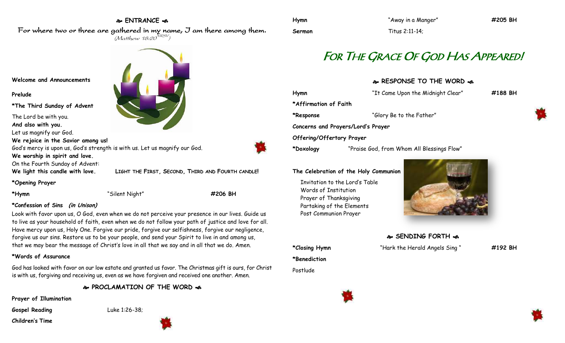## **ENTRANCE**

For where two or three are gathered in my name, I am there among them.  $(M$ atthew 18:20 $^{NRSV})$ 



**Prelude**

**\*The Third Sunday of Advent**

The Lord be with you.

**And also with you.**

Let us magnify our God.

**We rejoice in the Savior among us!** God's mercy is upon us, God's strength is with us. Let us magnify our God.

**We worship in spirit and love.**

On the Fourth Sunday of Advent:

**We light this candle with love. LIGHT THE FIRST, SECOND, THIRD AND FOURTH CANDLE!**

**\*Opening Prayer**

**\*Hymn** "Silent Night" **#206 BH**

## **\*Confession of Sins (in Unison)**

Look with favor upon us, O God, even when we do not perceive your presence in our lives. Guide us to live as your household of faith, even when we do not follow your path of justice and love for all. Have mercy upon us, Holy One. Forgive our pride, forgive our selfishness, forgive our negligence, forgive us our sins. Restore us to be your people, and send your Spirit to live in and among us, that we may bear the message of Christ's love in all that we say and in all that we do. Amen.

## **\*Words of Assurance**

God has looked with favor on our low estate and granted us favor. The Christmas gift is ours, for Christ is with us, forgiving and receiving us, even as we have forgiven and received one another. Amen.

**PROCLAMATION OF THE WORD** 

**Prayer of Illumination**

Gospel Reading Luke 1:26-38;

**Children's Time**





**Sermon** Titus 2:11-14;

**Hymn** "Away in a Manger" **#205 BH**

# FOR THE GRACE OF GOD HAS APPEARED!

**RESPONSE TO THE WORD** 

| Hymn                      | "It Came Upon the Midnight Clear"          | #188 BH |
|---------------------------|--------------------------------------------|---------|
| *Affirmation of Faith     |                                            |         |
| *Response                 | "Glory Be to the Father"                   |         |
|                           | Concerns and Prayers/Lord's Prayer         |         |
| Offering/Offertory Prayer |                                            |         |
| *Doxology                 | "Praise God, from Whom All Blessings Flow" |         |
|                           |                                            |         |

#### **The Celebration of the Holy Communion**

Invitation to the Lord's Table Words of Institution Prayer of Thanksgiving Partaking of the Elements Post Communion Prayer



- **SENDING FORTH**
- 
- **\*Closing Hymn** "Hark the Herald Angels Sing " **#192 BH \*Benediction** Postlude